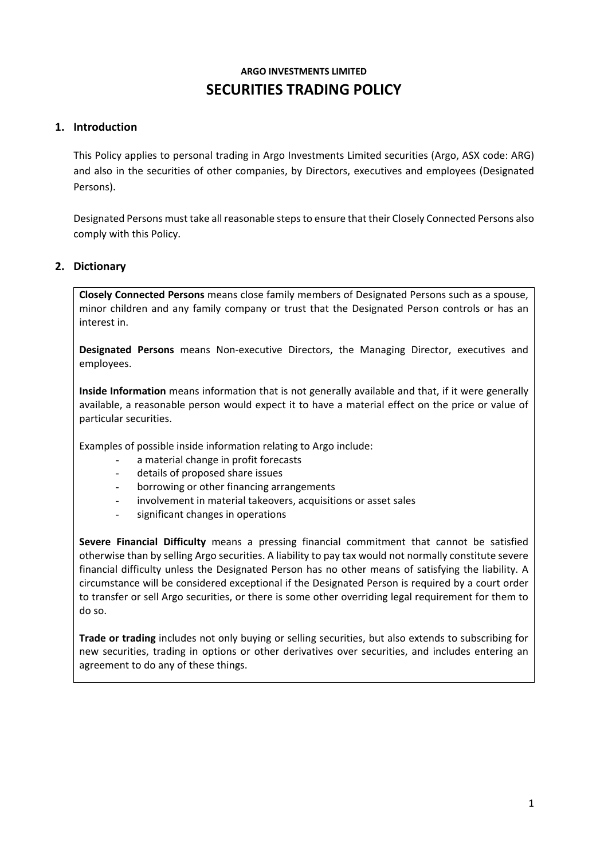# **ARGO INVESTMENTS LIMITED SECURITIES TRADING POLICY**

# **1. Introduction**

This Policy applies to personal trading in Argo Investments Limited securities (Argo, ASX code: ARG) and also in the securities of other companies, by Directors, executives and employees (Designated Persons).

Designated Persons must take all reasonable steps to ensure that their Closely Connected Persons also comply with this Policy.

## **2. Dictionary**

**Closely Connected Persons** means close family members of Designated Persons such as a spouse, minor children and any family company or trust that the Designated Person controls or has an interest in.

**Designated Persons** means Non-executive Directors, the Managing Director, executives and employees.

**Inside Information** means information that is not generally available and that, if it were generally available, a reasonable person would expect it to have a material effect on the price or value of particular securities.

Examples of possible inside information relating to Argo include:

- a material change in profit forecasts
- details of proposed share issues
- borrowing or other financing arrangements
- involvement in material takeovers, acquisitions or asset sales
- significant changes in operations

**Severe Financial Difficulty** means a pressing financial commitment that cannot be satisfied otherwise than by selling Argo securities. A liability to pay tax would not normally constitute severe financial difficulty unless the Designated Person has no other means of satisfying the liability. A circumstance will be considered exceptional if the Designated Person is required by a court order to transfer or sell Argo securities, or there is some other overriding legal requirement for them to do so.

**Trade or trading** includes not only buying or selling securities, but also extends to subscribing for new securities, trading in options or other derivatives over securities, and includes entering an agreement to do any of these things.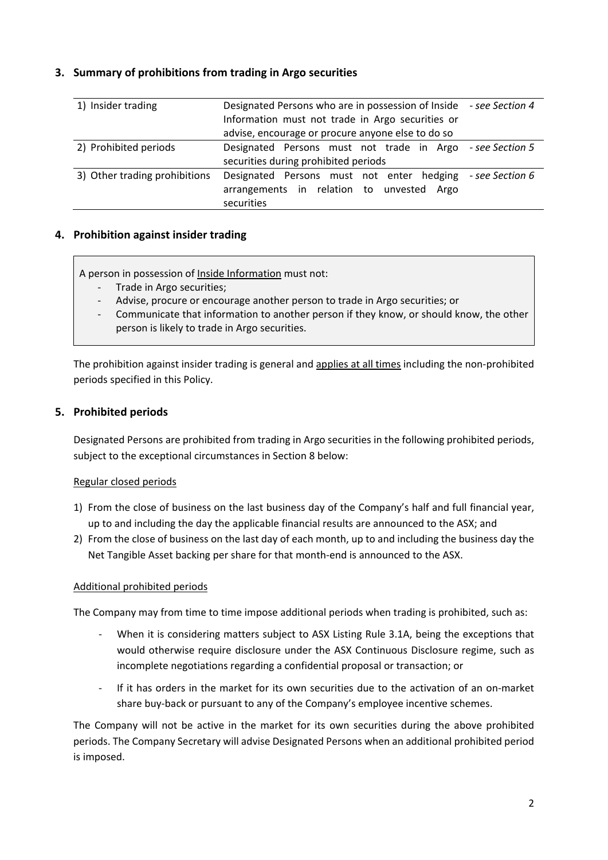## **3. Summary of prohibitions from trading in Argo securities**

| 1) Insider trading            | Designated Persons who are in possession of Inside - see Section 4 |
|-------------------------------|--------------------------------------------------------------------|
|                               | Information must not trade in Argo securities or                   |
|                               | advise, encourage or procure anyone else to do so                  |
| 2) Prohibited periods         | Designated Persons must not trade in Argo - see Section 5          |
|                               | securities during prohibited periods                               |
| 3) Other trading prohibitions | Designated Persons must not enter hedging - see Section 6          |
|                               | arrangements in relation to unvested Argo                          |
|                               | securities                                                         |

## **4. Prohibition against insider trading**

A person in possession of Inside Information must not:

- Trade in Argo securities;
- Advise, procure or encourage another person to trade in Argo securities; or
- Communicate that information to another person if they know, or should know, the other person is likely to trade in Argo securities.

The prohibition against insider trading is general and applies at all times including the non-prohibited periods specified in this Policy.

## **5. Prohibited periods**

Designated Persons are prohibited from trading in Argo securities in the following prohibited periods, subject to the exceptional circumstances in Section 8 below:

## Regular closed periods

- 1) From the close of business on the last business day of the Company's half and full financial year, up to and including the day the applicable financial results are announced to the ASX; and
- 2) From the close of business on the last day of each month, up to and including the business day the Net Tangible Asset backing per share for that month-end is announced to the ASX.

## Additional prohibited periods

The Company may from time to time impose additional periods when trading is prohibited, such as:

- When it is considering matters subject to ASX Listing Rule 3.1A, being the exceptions that would otherwise require disclosure under the ASX Continuous Disclosure regime, such as incomplete negotiations regarding a confidential proposal or transaction; or
- If it has orders in the market for its own securities due to the activation of an on-market share buy-back or pursuant to any of the Company's employee incentive schemes.

The Company will not be active in the market for its own securities during the above prohibited periods. The Company Secretary will advise Designated Persons when an additional prohibited period is imposed.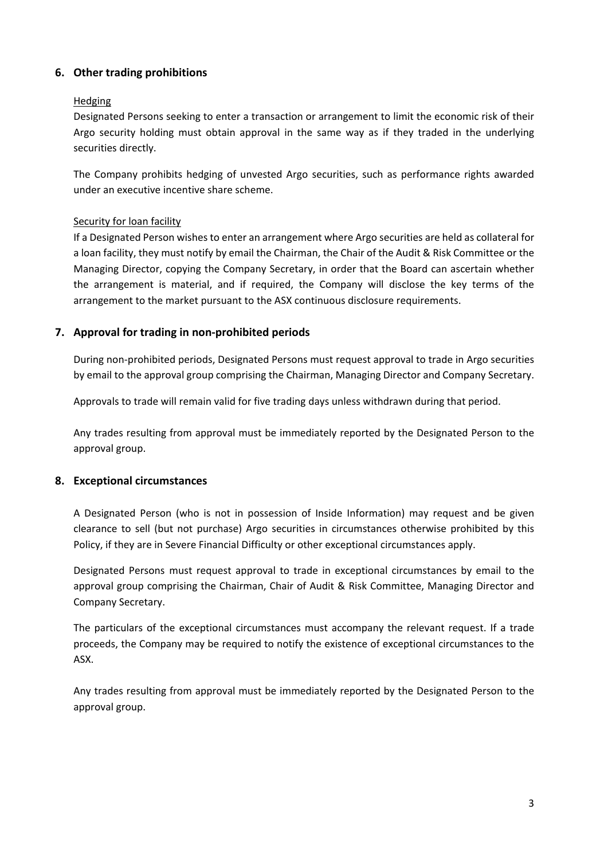## **6. Other trading prohibitions**

### **Hedging**

Designated Persons seeking to enter a transaction or arrangement to limit the economic risk of their Argo security holding must obtain approval in the same way as if they traded in the underlying securities directly.

The Company prohibits hedging of unvested Argo securities, such as performance rights awarded under an executive incentive share scheme.

#### Security for loan facility

If a Designated Person wishes to enter an arrangement where Argo securities are held as collateral for a loan facility, they must notify by email the Chairman, the Chair of the Audit & Risk Committee or the Managing Director, copying the Company Secretary, in order that the Board can ascertain whether the arrangement is material, and if required, the Company will disclose the key terms of the arrangement to the market pursuant to the ASX continuous disclosure requirements.

## **7. Approval for trading in non-prohibited periods**

During non-prohibited periods, Designated Persons must request approval to trade in Argo securities by email to the approval group comprising the Chairman, Managing Director and Company Secretary.

Approvals to trade will remain valid for five trading days unless withdrawn during that period.

Any trades resulting from approval must be immediately reported by the Designated Person to the approval group.

## **8. Exceptional circumstances**

A Designated Person (who is not in possession of Inside Information) may request and be given clearance to sell (but not purchase) Argo securities in circumstances otherwise prohibited by this Policy, if they are in Severe Financial Difficulty or other exceptional circumstances apply.

Designated Persons must request approval to trade in exceptional circumstances by email to the approval group comprising the Chairman, Chair of Audit & Risk Committee, Managing Director and Company Secretary.

The particulars of the exceptional circumstances must accompany the relevant request. If a trade proceeds, the Company may be required to notify the existence of exceptional circumstances to the ASX.

Any trades resulting from approval must be immediately reported by the Designated Person to the approval group.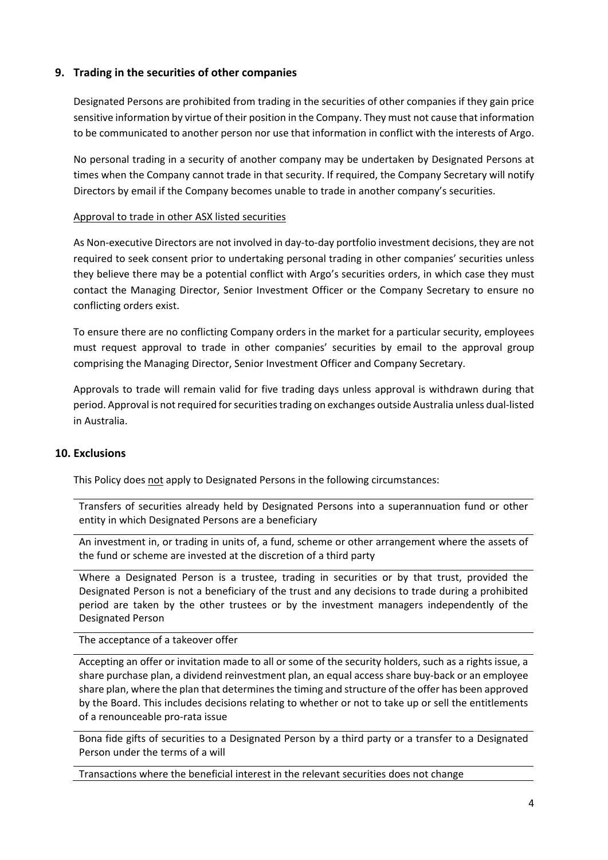## **9. Trading in the securities of other companies**

Designated Persons are prohibited from trading in the securities of other companies if they gain price sensitive information by virtue of their position in the Company. They must not cause that information to be communicated to another person nor use that information in conflict with the interests of Argo.

No personal trading in a security of another company may be undertaken by Designated Persons at times when the Company cannot trade in that security. If required, the Company Secretary will notify Directors by email if the Company becomes unable to trade in another company's securities.

#### Approval to trade in other ASX listed securities

As Non-executive Directors are not involved in day-to-day portfolio investment decisions, they are not required to seek consent prior to undertaking personal trading in other companies' securities unless they believe there may be a potential conflict with Argo's securities orders, in which case they must contact the Managing Director, Senior Investment Officer or the Company Secretary to ensure no conflicting orders exist.

To ensure there are no conflicting Company orders in the market for a particular security, employees must request approval to trade in other companies' securities by email to the approval group comprising the Managing Director, Senior Investment Officer and Company Secretary.

Approvals to trade will remain valid for five trading days unless approval is withdrawn during that period. Approval is not required for securities trading on exchanges outside Australia unless dual-listed in Australia.

## **10. Exclusions**

This Policy does not apply to Designated Persons in the following circumstances:

Transfers of securities already held by Designated Persons into a superannuation fund or other entity in which Designated Persons are a beneficiary

An investment in, or trading in units of, a fund, scheme or other arrangement where the assets of the fund or scheme are invested at the discretion of a third party

Where a Designated Person is a trustee, trading in securities or by that trust, provided the Designated Person is not a beneficiary of the trust and any decisions to trade during a prohibited period are taken by the other trustees or by the investment managers independently of the Designated Person

#### The acceptance of a takeover offer

Accepting an offer or invitation made to all or some of the security holders, such as a rights issue, a share purchase plan, a dividend reinvestment plan, an equal access share buy-back or an employee share plan, where the plan that determines the timing and structure of the offer has been approved by the Board. This includes decisions relating to whether or not to take up or sell the entitlements of a renounceable pro-rata issue

Bona fide gifts of securities to a Designated Person by a third party or a transfer to a Designated Person under the terms of a will

Transactions where the beneficial interest in the relevant securities does not change